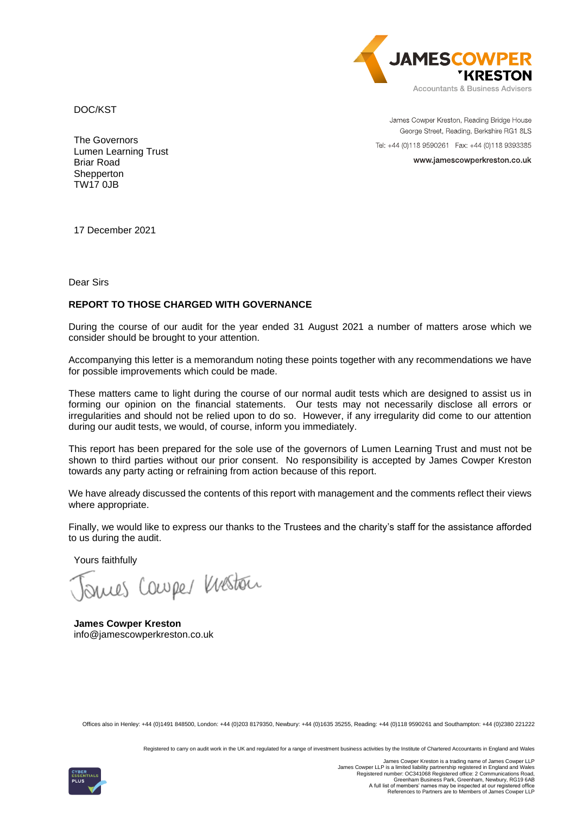

DOC/KST

James Cowper Kreston, Reading Bridge House George Street, Reading, Berkshire RG1 8LS Tel: +44 (0)118 9590261 Fax: +44 (0)118 9393385

www.jamescowperkreston.co.uk

The Governors Lumen Learning Trust Briar Road **Shepperton** TW17 0JB

17 December 2021

Dear Sirs

# **REPORT TO THOSE CHARGED WITH GOVERNANCE**

During the course of our audit for the year ended 31 August 2021 a number of matters arose which we consider should be brought to your attention.

Accompanying this letter is a memorandum noting these points together with any recommendations we have for possible improvements which could be made.

These matters came to light during the course of our normal audit tests which are designed to assist us in forming our opinion on the financial statements. Our tests may not necessarily disclose all errors or irregularities and should not be relied upon to do so. However, if any irregularity did come to our attention during our audit tests, we would, of course, inform you immediately.

This report has been prepared for the sole use of the governors of Lumen Learning Trust and must not be shown to third parties without our prior consent. No responsibility is accepted by James Cowper Kreston towards any party acting or refraining from action because of this report.

We have already discussed the contents of this report with management and the comments reflect their views where appropriate.

Finally, we would like to express our thanks to the Trustees and the charity's staff for the assistance afforded to us during the audit.

Yours faithfully

nues Couper Weston

**James Cowper Kreston** info@jamescowperkreston.co.uk

Offices also in Henley: +44 (0)1491 848500, London: +44 (0)203 8179350, Newbury: +44 (0)1635 35255, Reading: +44 (0)118 9590261 and Southampton: +44 (0)2380 221222

Registered to carry on audit work in the UK and regulated for a range of investment business activities by the Institute of Chartered Accountants in England and Wales

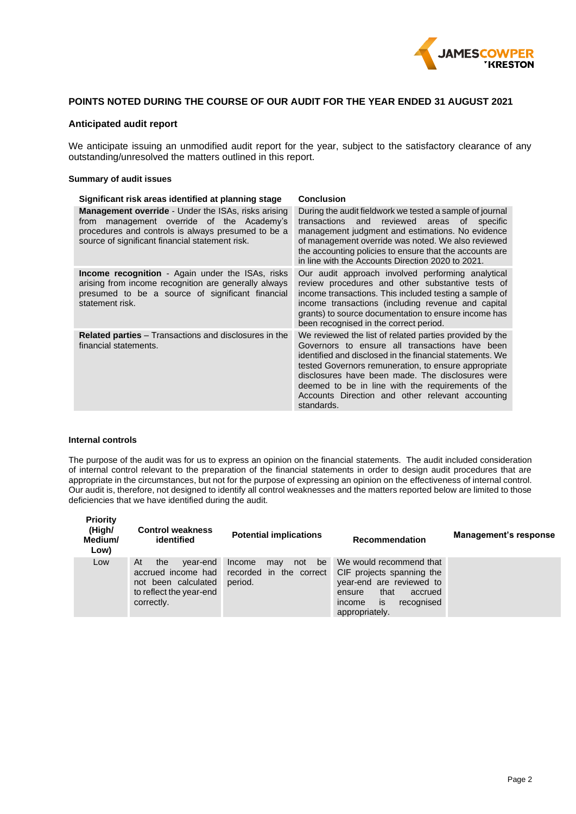

# **POINTS NOTED DURING THE COURSE OF OUR AUDIT FOR THE YEAR ENDED 31 AUGUST 2021**

### **Anticipated audit report**

We anticipate issuing an unmodified audit report for the year, subject to the satisfactory clearance of any outstanding/unresolved the matters outlined in this report.

#### **Summary of audit issues**

| Significant risk areas identified at planning stage                                                                                                                                                                 | <b>Conclusion</b>                                                                                                                                                                                                                                                                                                                                                                                        |  |  |
|---------------------------------------------------------------------------------------------------------------------------------------------------------------------------------------------------------------------|----------------------------------------------------------------------------------------------------------------------------------------------------------------------------------------------------------------------------------------------------------------------------------------------------------------------------------------------------------------------------------------------------------|--|--|
| <b>Management override</b> - Under the ISAs, risks arising<br>management override of the Academy's<br>from<br>procedures and controls is always presumed to be a<br>source of significant financial statement risk. | During the audit fieldwork we tested a sample of journal<br>transactions and<br>reviewed areas<br>of specific<br>management judgment and estimations. No evidence<br>of management override was noted. We also reviewed<br>the accounting policies to ensure that the accounts are<br>in line with the Accounts Direction 2020 to 2021.                                                                  |  |  |
| <b>Income recognition</b> - Again under the ISAs, risks<br>arising from income recognition are generally always<br>presumed to be a source of significant financial<br>statement risk.                              | Our audit approach involved performing analytical<br>review procedures and other substantive tests of<br>income transactions. This included testing a sample of<br>income transactions (including revenue and capital<br>grants) to source documentation to ensure income has<br>been recognised in the correct period.                                                                                  |  |  |
| <b>Related parties</b> – Transactions and disclosures in the<br>financial statements.                                                                                                                               | We reviewed the list of related parties provided by the<br>Governors to ensure all transactions have been<br>identified and disclosed in the financial statements. We<br>tested Governors remuneration, to ensure appropriate<br>disclosures have been made. The disclosures were<br>deemed to be in line with the requirements of the<br>Accounts Direction and other relevant accounting<br>standards. |  |  |

#### **Internal controls**

The purpose of the audit was for us to express an opinion on the financial statements. The audit included consideration of internal control relevant to the preparation of the financial statements in order to design audit procedures that are appropriate in the circumstances, but not for the purpose of expressing an opinion on the effectiveness of internal control. Our audit is, therefore, not designed to identify all control weaknesses and the matters reported below are limited to those deficiencies that we have identified during the audit.

| <b>Priority</b><br>(High/<br>Medium/<br>Low) | <b>Control weakness</b><br>identified                                                 | <b>Potential implications</b>                                                         | <b>Recommendation</b>                                                                                                                                         | Management's response |
|----------------------------------------------|---------------------------------------------------------------------------------------|---------------------------------------------------------------------------------------|---------------------------------------------------------------------------------------------------------------------------------------------------------------|-----------------------|
| Low                                          | At<br>year-end<br>the<br>not been calculated<br>to reflect the year-end<br>correctly. | ∠ be<br>not<br>Income<br>may<br>accrued income had recorded in the correct<br>period. | We would recommend that<br>CIF projects spanning the<br>year-end are reviewed to<br>that<br>accrued<br>ensure<br>is<br>income<br>recognised<br>appropriately. |                       |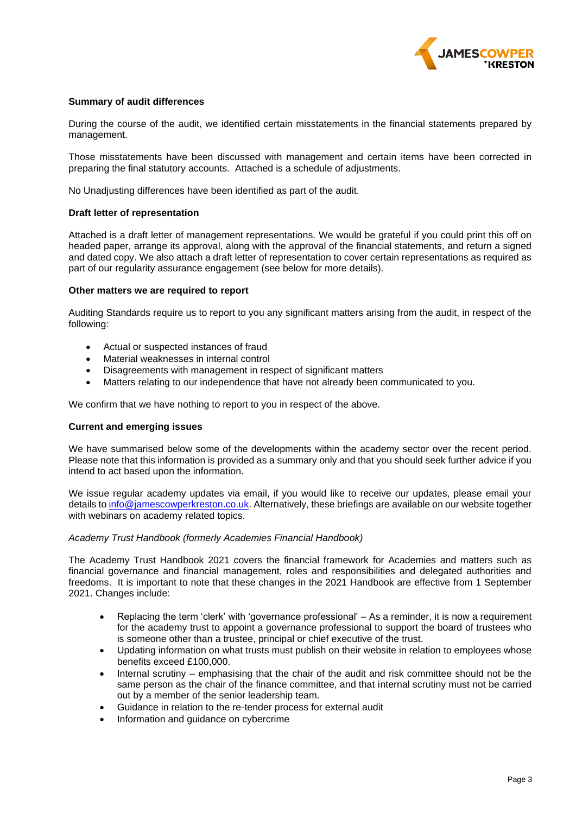

## **Summary of audit differences**

During the course of the audit, we identified certain misstatements in the financial statements prepared by management.

Those misstatements have been discussed with management and certain items have been corrected in preparing the final statutory accounts. Attached is a schedule of adjustments.

No Unadjusting differences have been identified as part of the audit.

### **Draft letter of representation**

Attached is a draft letter of management representations. We would be grateful if you could print this off on headed paper, arrange its approval, along with the approval of the financial statements, and return a signed and dated copy. We also attach a draft letter of representation to cover certain representations as required as part of our regularity assurance engagement (see below for more details).

### **Other matters we are required to report**

Auditing Standards require us to report to you any significant matters arising from the audit, in respect of the following:

- Actual or suspected instances of fraud
- Material weaknesses in internal control
- Disagreements with management in respect of significant matters
- Matters relating to our independence that have not already been communicated to you.

We confirm that we have nothing to report to you in respect of the above.

## **Current and emerging issues**

We have summarised below some of the developments within the academy sector over the recent period. Please note that this information is provided as a summary only and that you should seek further advice if you intend to act based upon the information.

We issue regular academy updates via email, if you would like to receive our updates, please email your details t[o info@jamescowperkreston.co.uk.](mailto:info@jamescowperkreston.co.uk) Alternatively, these briefings are available on our website together with webinars on academy related topics.

## *Academy Trust Handbook (formerly Academies Financial Handbook)*

The Academy Trust Handbook 2021 covers the financial framework for Academies and matters such as financial governance and financial management, roles and responsibilities and delegated authorities and freedoms. It is important to note that these changes in the 2021 Handbook are effective from 1 September 2021. Changes include:

- Replacing the term 'clerk' with 'governance professional' As a reminder, it is now a requirement for the academy trust to appoint a governance professional to support the board of trustees who is someone other than a trustee, principal or chief executive of the trust.
- Updating information on what trusts must publish on their website in relation to employees whose benefits exceed £100,000.
- Internal scrutiny emphasising that the chair of the audit and risk committee should not be the same person as the chair of the finance committee, and that internal scrutiny must not be carried out by a member of the senior leadership team.
- Guidance in relation to the re-tender process for external audit
- Information and guidance on cybercrime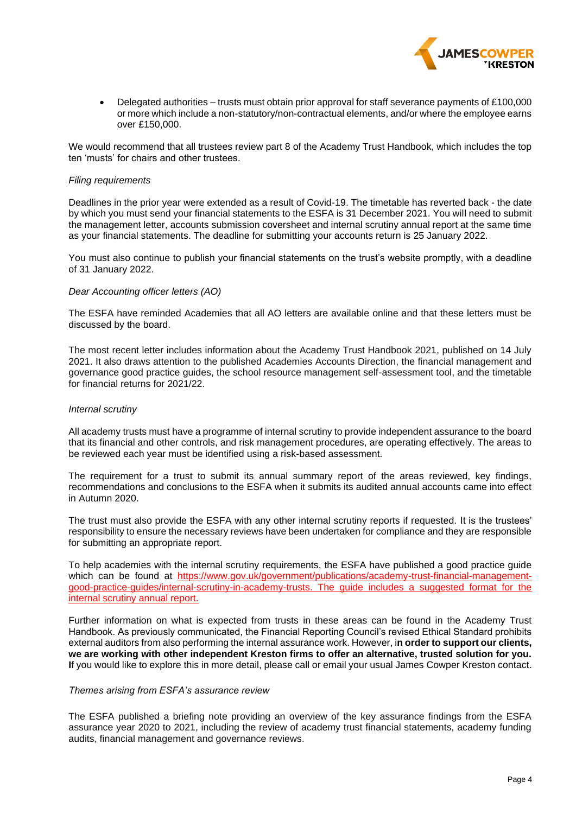

• Delegated authorities – trusts must obtain prior approval for staff severance payments of £100,000 or more which include a non-statutory/non-contractual elements, and/or where the employee earns over £150,000.

We would recommend that all trustees review part 8 of the Academy Trust Handbook, which includes the top ten 'musts' for chairs and other trustees.

### *Filing requirements*

Deadlines in the prior year were extended as a result of Covid-19. The timetable has reverted back - the date by which you must send your financial statements to the ESFA is 31 December 2021. You will need to submit the management letter, accounts submission coversheet and internal scrutiny annual report at the same time as your financial statements. The deadline for submitting your accounts return is 25 January 2022.

You must also continue to publish your financial statements on the trust's website promptly, with a deadline of 31 January 2022.

## *Dear Accounting officer letters (AO)*

The ESFA have reminded Academies that all AO letters are available online and that these letters must be discussed by the board.

The most recent letter includes information about the Academy Trust Handbook 2021, published on 14 July 2021. It also draws attention to the published Academies Accounts Direction, the financial management and governance good practice guides, the school resource management self-assessment tool, and the timetable for financial returns for 2021/22.

### *Internal scrutiny*

All academy trusts must have a programme of internal scrutiny to provide independent assurance to the board that its financial and other controls, and risk management procedures, are operating effectively. The areas to be reviewed each year must be identified using a risk-based assessment.

The requirement for a trust to submit its annual summary report of the areas reviewed, key findings, recommendations and conclusions to the ESFA when it submits its audited annual accounts came into effect in Autumn 2020.

The trust must also provide the ESFA with any other internal scrutiny reports if requested. It is the trustees' responsibility to ensure the necessary reviews have been undertaken for compliance and they are responsible for submitting an appropriate report.

To help academies with the internal scrutiny requirements, the ESFA have published a good practice guide which can be found at [https://www.gov.uk/government/publications/academy-trust-financial-management](https://www.gov.uk/government/publications/academy-trust-financial-management-good-practice-guides/internal-scrutiny-in-academy-trusts)[good-practice-guides/internal-scrutiny-in-academy-trusts.](https://www.gov.uk/government/publications/academy-trust-financial-management-good-practice-guides/internal-scrutiny-in-academy-trusts) The guide includes a suggested format for the internal scrutiny annual report.

Further information on what is expected from trusts in these areas can be found in the Academy Trust Handbook. As previously communicated, the Financial Reporting Council's revised Ethical Standard prohibits external auditors from also performing the internal assurance work. However, i**n order to support our clients, we are working with other independent Kreston firms to offer an alternative, trusted solution for you. I**f you would like to explore this in more detail, please call or email your usual James Cowper Kreston contact.

#### *Themes arising from ESFA's assurance review*

The ESFA published a briefing note providing an overview of the key assurance findings from the ESFA assurance year 2020 to 2021, including the review of academy trust financial statements, academy funding audits, financial management and governance reviews.